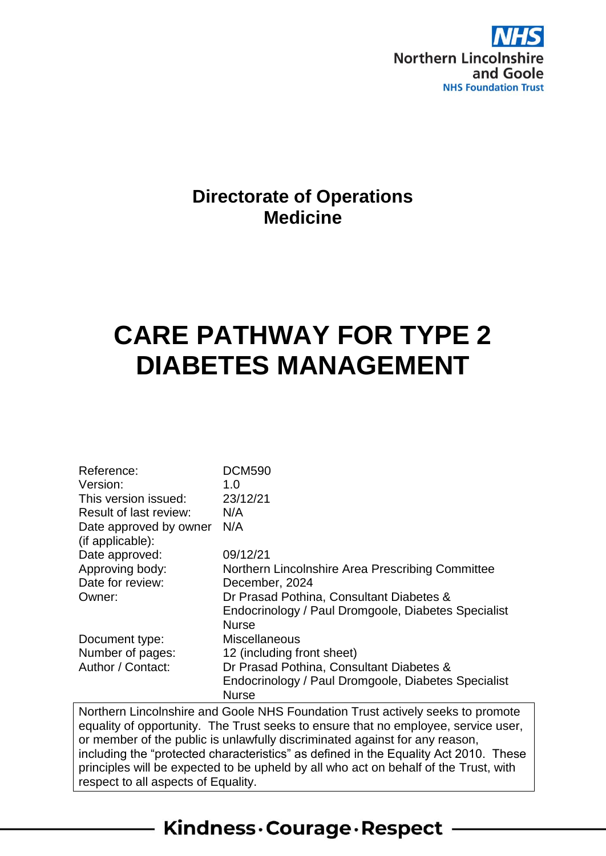

# **Directorate of Operations Medicine**

# **CARE PATHWAY FOR TYPE 2 DIABETES MANAGEMENT**

| Reference:                                 | <b>DCM590</b>                                                                        |
|--------------------------------------------|--------------------------------------------------------------------------------------|
| Version:                                   | 1.0                                                                                  |
| This version issued:                       | 23/12/21                                                                             |
| Result of last review:                     | N/A                                                                                  |
| Date approved by owner<br>(if applicable): | N/A                                                                                  |
| Date approved:                             | 09/12/21                                                                             |
| Approving body:                            | Northern Lincolnshire Area Prescribing Committee                                     |
| Date for review:                           | December, 2024                                                                       |
| Owner:                                     | Dr Prasad Pothina, Consultant Diabetes &                                             |
|                                            | Endocrinology / Paul Dromgoole, Diabetes Specialist                                  |
|                                            | <b>Nurse</b>                                                                         |
| Document type:                             | <b>Miscellaneous</b>                                                                 |
| Number of pages:                           | 12 (including front sheet)                                                           |
| Author / Contact:                          | Dr Prasad Pothina, Consultant Diabetes &                                             |
|                                            | Endocrinology / Paul Dromgoole, Diabetes Specialist                                  |
|                                            | <b>Nurse</b>                                                                         |
|                                            | Northern Lincolnshire and Goole NHS Foundation Trust actively seeks to promote       |
|                                            | equality of opportunity. The Trust seeks to ensure that no employee, service user,   |
|                                            | or member of the public is unlawfully discriminated against for any reason,          |
|                                            | including the "protected characteristics" as defined in the Equality Act 2010. These |
|                                            | principles will be expected to be upheld by all who act on behalf of the Trust, with |

Kindness. Courage. Respect

respect to all aspects of Equality.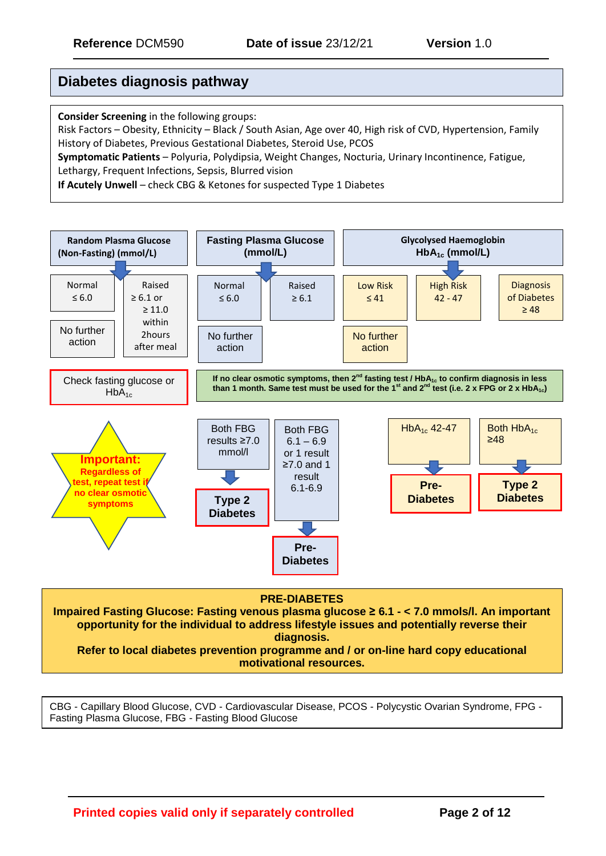## **Diabetes diagnosis pathway**

**Consider Screening** in the following groups:

Risk Factors – Obesity, Ethnicity – Black / South Asian, Age over 40, High risk of CVD, Hypertension, Family History of Diabetes, Previous Gestational Diabetes, Steroid Use, PCOS

**Symptomatic Patients** – Polyuria, Polydipsia, Weight Changes, Nocturia, Urinary Incontinence, Fatigue, Lethargy, Frequent Infections, Sepsis, Blurred vision

**If Acutely Unwell** – check CBG & Ketones for suspected Type 1 Diabetes



**Refer to local diabetes prevention programme and / or on-line hard copy educational motivational resources.**

CBG - Capillary Blood Glucose, CVD - Cardiovascular Disease, PCOS - Polycystic Ovarian Syndrome, FPG - Fasting Plasma Glucose, FBG - Fasting Blood Glucose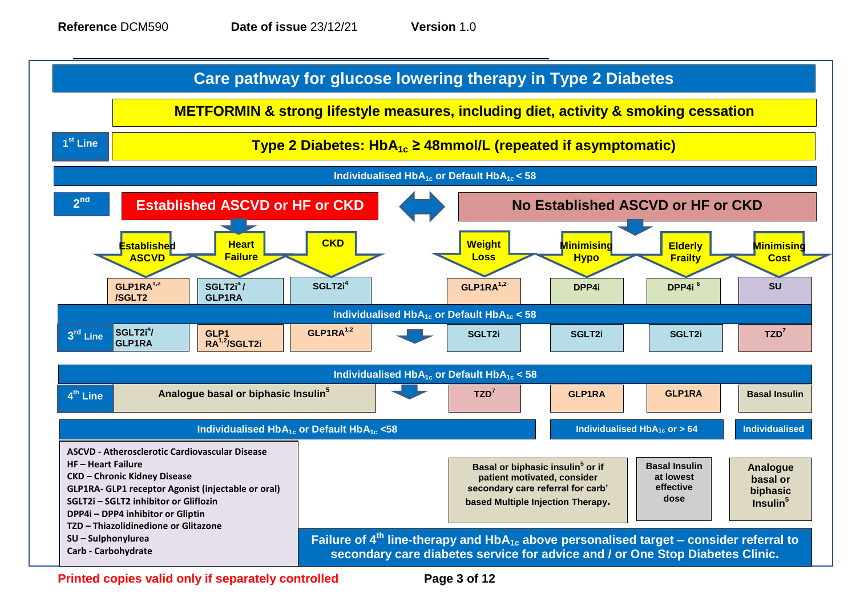



**Printed copies valid only if separately controlled Page 3 of 12**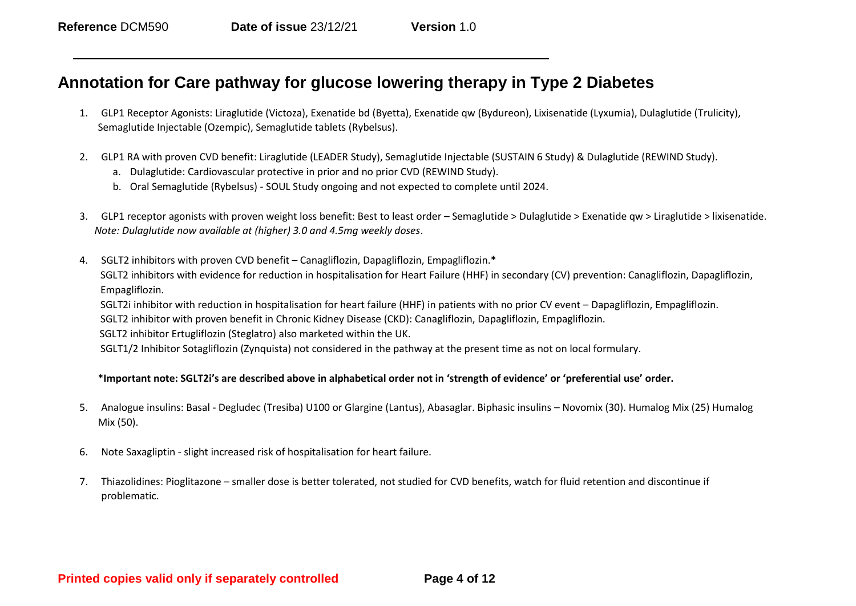# **Annotation for Care pathway for glucose lowering therapy in Type 2 Diabetes**

- 1. GLP1 Receptor Agonists: Liraglutide (Victoza), Exenatide bd (Byetta), Exenatide qw (Bydureon), Lixisenatide (Lyxumia), Dulaglutide (Trulicity), Semaglutide Injectable (Ozempic), Semaglutide tablets (Rybelsus).
- 2. GLP1 RA with proven CVD benefit: Liraglutide (LEADER Study), Semaglutide Injectable (SUSTAIN 6 Study) & Dulaglutide (REWIND Study).
	- a. Dulaglutide: Cardiovascular protective in prior and no prior CVD (REWIND Study).
	- b. Oral Semaglutide (Rybelsus) SOUL Study ongoing and not expected to complete until 2024.
- 3. GLP1 receptor agonists with proven weight loss benefit: Best to least order Semaglutide > Dulaglutide > Exenatide qw > Liraglutide > lixisenatide. *Note: Dulaglutide now available at (higher) 3.0 and 4.5mg weekly doses*.
- 4. SGLT2 inhibitors with proven CVD benefit Canagliflozin, Dapagliflozin, Empagliflozin.**\*** SGLT2 inhibitors with evidence for reduction in hospitalisation for Heart Failure (HHF) in secondary (CV) prevention: Canagliflozin, Dapagliflozin, Empagliflozin.

SGLT2i inhibitor with reduction in hospitalisation for heart failure (HHF) in patients with no prior CV event – Dapagliflozin, Empagliflozin.

SGLT2 inhibitor with proven benefit in Chronic Kidney Disease (CKD): Canagliflozin, Dapagliflozin, Empagliflozin.

SGLT2 inhibitor Ertugliflozin (Steglatro) also marketed within the UK.

SGLT1/2 Inhibitor Sotagliflozin (Zynquista) not considered in the pathway at the present time as not on local formulary.

#### **\*Important note: SGLT2i's are described above in alphabetical order not in 'strength of evidence' or 'preferential use' order.**

- 5. Analogue insulins: Basal Degludec (Tresiba) U100 or Glargine (Lantus), Abasaglar. Biphasic insulins Novomix (30). Humalog Mix (25) Humalog Mix (50).
- 6. Note Saxagliptin slight increased risk of hospitalisation for heart failure.
- 7. Thiazolidines: Pioglitazone smaller dose is better tolerated, not studied for CVD benefits, watch for fluid retention and discontinue if problematic.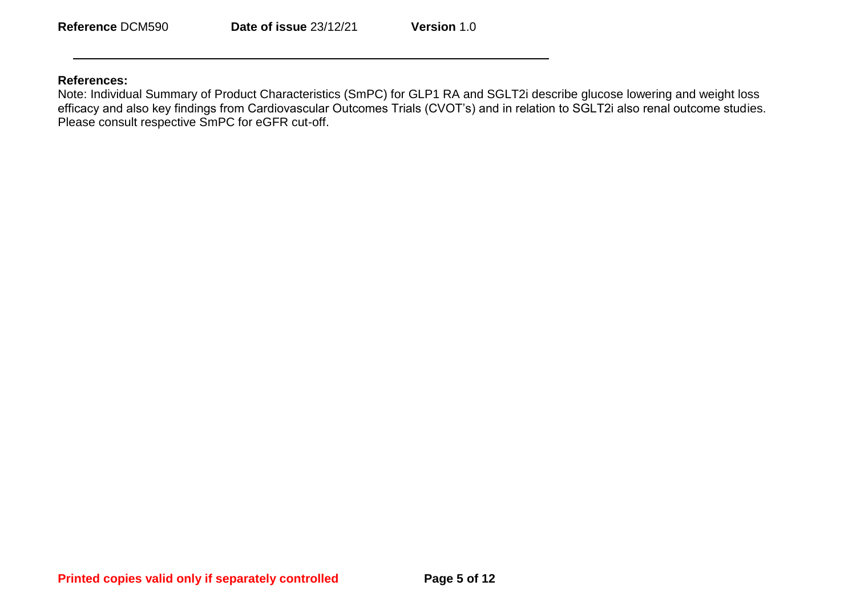#### **References:**

Note: Individual Summary of Product Characteristics (SmPC) for GLP1 RA and SGLT2i describe glucose lowering and weight loss efficacy and also key findings from Cardiovascular Outcomes Trials (CVOT's) and in relation to SGLT2i also renal outcome studies. Please consult respective SmPC for eGFR cut-off.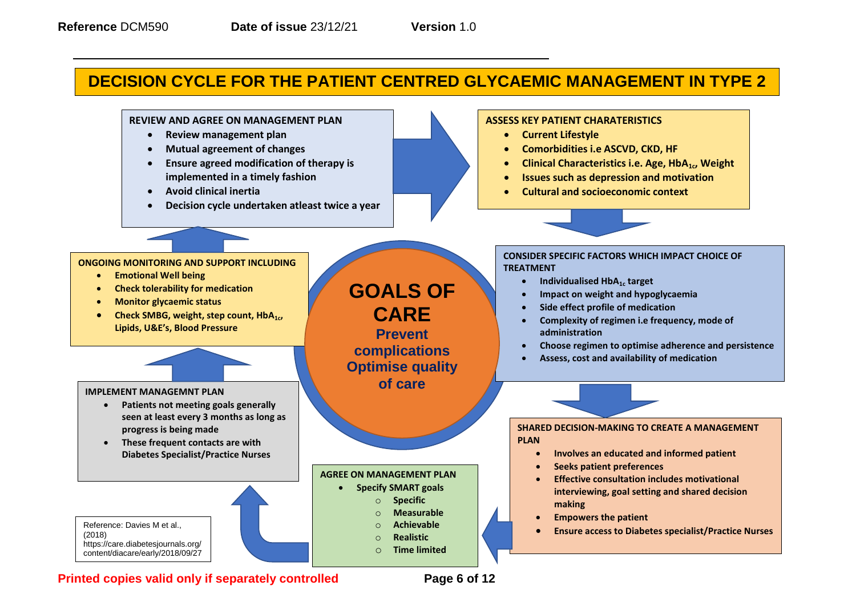# **DECISION CYCLE FOR THE PATIENT CENTRED GLYCAEMIC MANAGEMENT IN TYPE 2**

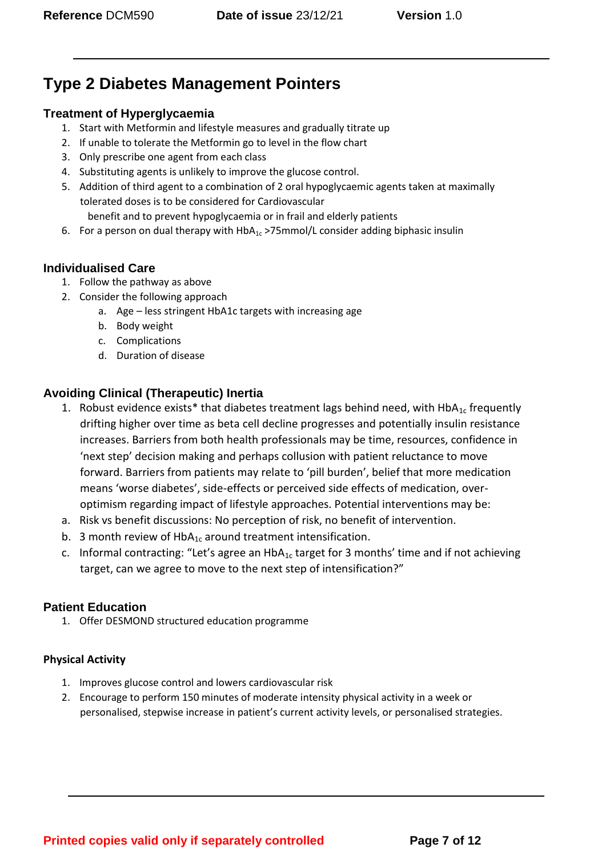# **Type 2 Diabetes Management Pointers**

# **Treatment of Hyperglycaemia**

- 1. Start with Metformin and lifestyle measures and gradually titrate up
- 2. If unable to tolerate the Metformin go to level in the flow chart
- 3. Only prescribe one agent from each class
- 4. Substituting agents is unlikely to improve the glucose control.
- 5. Addition of third agent to a combination of 2 oral hypoglycaemic agents taken at maximally tolerated doses is to be considered for Cardiovascular benefit and to prevent hypoglycaemia or in frail and elderly patients
- 6. For a person on dual therapy with  $HbA_{1c}$  >75mmol/L consider adding biphasic insulin

# **Individualised Care**

- 1. Follow the pathway as above
- 2. Consider the following approach
	- a. Age less stringent HbA1c targets with increasing age
	- b. Body weight
	- c. Complications
	- d. Duration of disease

# **Avoiding Clinical (Therapeutic) Inertia**

- 1. Robust evidence exists\* that diabetes treatment lags behind need, with  $HDA_{1c}$  frequently drifting higher over time as beta cell decline progresses and potentially insulin resistance increases. Barriers from both health professionals may be time, resources, confidence in 'next step' decision making and perhaps collusion with patient reluctance to move forward. Barriers from patients may relate to 'pill burden', belief that more medication means 'worse diabetes', side-effects or perceived side effects of medication, overoptimism regarding impact of lifestyle approaches. Potential interventions may be:
- a. Risk vs benefit discussions: No perception of risk, no benefit of intervention.
- b. 3 month review of  $HbA_{1c}$  around treatment intensification.
- c. Informal contracting: "Let's agree an  $HbA_{1c}$  target for 3 months' time and if not achieving target, can we agree to move to the next step of intensification?"

# **Patient Education**

1. Offer DESMOND structured education programme

# **Physical Activity**

- 1. Improves glucose control and lowers cardiovascular risk
- 2. Encourage to perform 150 minutes of moderate intensity physical activity in a week or personalised, stepwise increase in patient's current activity levels, or personalised strategies.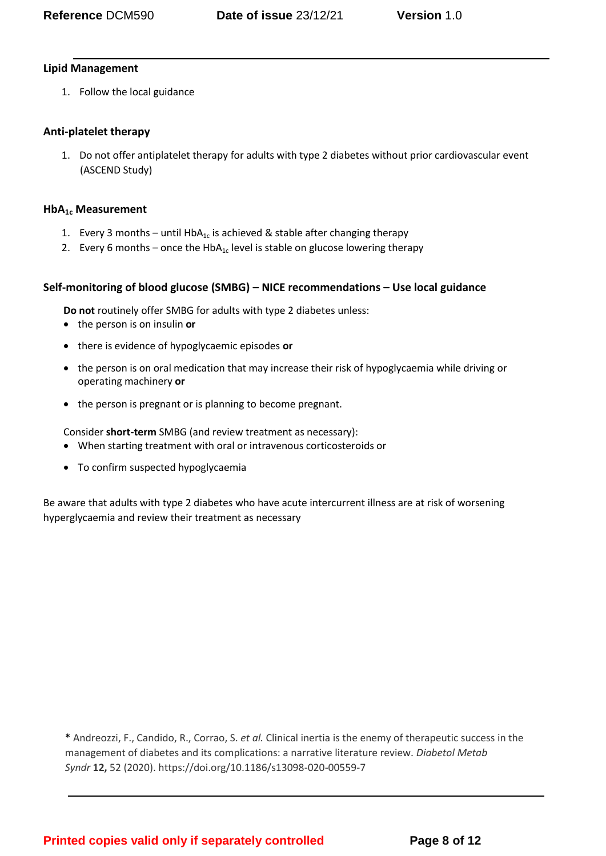#### **Lipid Management**

1. Follow the local guidance

## **Anti-platelet therapy**

1. Do not offer antiplatelet therapy for adults with type 2 diabetes without prior cardiovascular event (ASCEND Study)

#### **HbA1c Measurement**

- 1. Every 3 months until HbA<sub>1c</sub> is achieved & stable after changing therapy
- 2. Every 6 months once the HbA<sub>1c</sub> level is stable on glucose lowering therapy

### **Self-monitoring of blood glucose (SMBG) – NICE recommendations – Use local guidance**

**Do not** routinely offer SMBG for adults with type 2 diabetes unless:

- the person is on insulin **or**
- there is evidence of hypoglycaemic episodes **or**
- the person is on oral medication that may increase their risk of hypoglycaemia while driving or operating machinery **or**
- the person is pregnant or is planning to become pregnant.

Consider **short-term** SMBG (and review treatment as necessary):

- When starting treatment with oral or intravenous corticosteroids or
- To confirm suspected hypoglycaemia

Be aware that adults with type 2 diabetes who have acute intercurrent illness are at risk of worsening hyperglycaemia and review their treatment as necessary

\* Andreozzi, F., Candido, R., Corrao, S. *et al.* Clinical inertia is the enemy of therapeutic success in the management of diabetes and its complications: a narrative literature review. *Diabetol Metab Syndr* **12,** 52 (2020). https://doi.org/10.1186/s13098-020-00559-7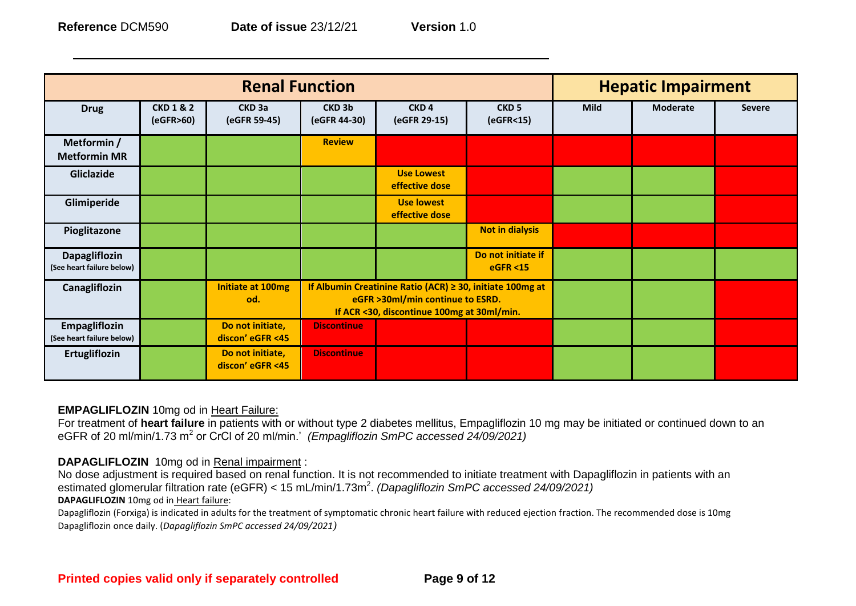| <b>Renal Function</b>                             |                                     |                                      |                                                                                                                                                  |                                     | <b>Hepatic Impairment</b>                 |      |                 |               |
|---------------------------------------------------|-------------------------------------|--------------------------------------|--------------------------------------------------------------------------------------------------------------------------------------------------|-------------------------------------|-------------------------------------------|------|-----------------|---------------|
| <b>Drug</b>                                       | <b>CKD 1 &amp; 2</b><br>(eGFR > 60) | CKD <sub>3a</sub><br>(eGFR 59-45)    | CKD <sub>3b</sub><br>(eGFR 44-30)                                                                                                                | CKD <sub>4</sub><br>(eGFR 29-15)    | CKD <sub>5</sub><br>(eGFR <sub>15</sub> ) | Mild | <b>Moderate</b> | <b>Severe</b> |
| Metformin /<br><b>Metformin MR</b>                |                                     |                                      | <b>Review</b>                                                                                                                                    |                                     |                                           |      |                 |               |
| Gliclazide                                        |                                     |                                      |                                                                                                                                                  | <b>Use Lowest</b><br>effective dose |                                           |      |                 |               |
| Glimiperide                                       |                                     |                                      |                                                                                                                                                  | <b>Use lowest</b><br>effective dose |                                           |      |                 |               |
| Pioglitazone                                      |                                     |                                      |                                                                                                                                                  |                                     | <b>Not in dialysis</b>                    |      |                 |               |
| <b>Dapagliflozin</b><br>(See heart failure below) |                                     |                                      |                                                                                                                                                  |                                     | Do not initiate if<br><b>eGFR &lt;15</b>  |      |                 |               |
| Canagliflozin                                     |                                     | <b>Initiate at 100mg</b><br>od.      | If Albumin Creatinine Ratio (ACR) $\geq$ 30, initiate 100mg at<br>eGFR >30ml/min continue to ESRD.<br>If ACR <30, discontinue 100mg at 30ml/min. |                                     |                                           |      |                 |               |
| Empagliflozin<br>(See heart failure below)        |                                     | Do not initiate,<br>discon' eGFR <45 | <b>Discontinue</b>                                                                                                                               |                                     |                                           |      |                 |               |
| Ertugliflozin                                     |                                     | Do not initiate,<br>discon' eGFR <45 | <b>Discontinue</b>                                                                                                                               |                                     |                                           |      |                 |               |

#### **EMPAGLIFLOZIN** 10mg od in Heart Failure:

For treatment of **heart failure** in patients with or without type 2 diabetes mellitus, Empagliflozin 10 mg may be initiated or continued down to an eGFR of 20 ml/min/1.73 m<sup>2</sup> or CrCl of 20 ml/min.' *(Empagliflozin SmPC accessed 24/09/2021)* 

#### **DAPAGLIFLOZIN** 10mg od in Renal impairment :

No dose adjustment is required based on renal function. It is not recommended to initiate treatment with Dapagliflozin in patients with an estimated glomerular filtration rate (eGFR) < 15 mL/min/1.73m<sup>2</sup>. *(Dapagliflozin SmPC accessed 24/09/2021)* **DAPAGLIFLOZIN** 10mg od in Heart failure:

Dapagliflozin (Forxiga) is indicated in adults for the treatment of symptomatic chronic heart failure with reduced ejection fraction. The recommended dose is 10mg Dapagliflozin once daily. (*Dapagliflozin SmPC accessed 24/09/2021)*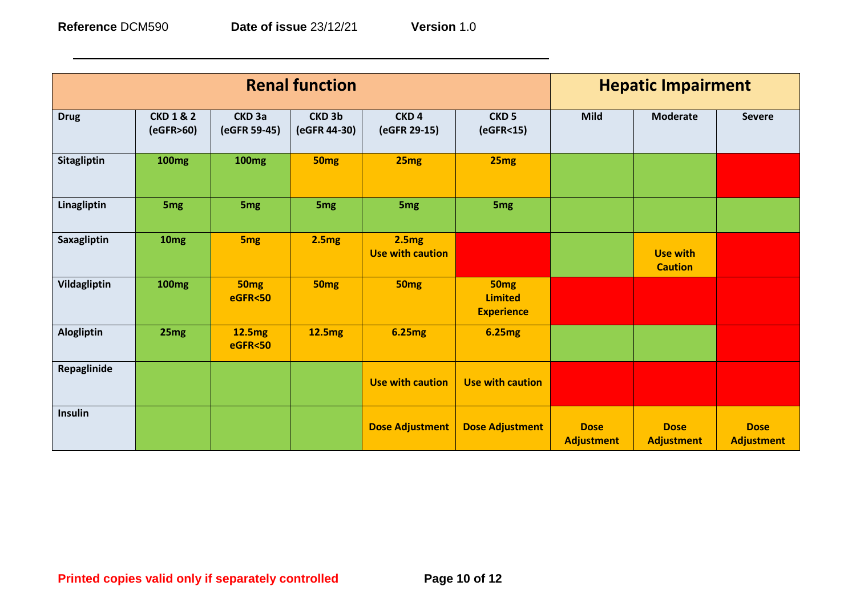| <b>Renal function</b> |                                     |                                    |                                   |                                  |                                                         | <b>Hepatic Impairment</b>        |                                  |                                  |
|-----------------------|-------------------------------------|------------------------------------|-----------------------------------|----------------------------------|---------------------------------------------------------|----------------------------------|----------------------------------|----------------------------------|
| <b>Drug</b>           | <b>CKD 1 &amp; 2</b><br>(eGFR > 60) | CKD <sub>3a</sub><br>(eGFR 59-45)  | CKD <sub>3b</sub><br>(eGFR 44-30) | CKD <sub>4</sub><br>(eGFR 29-15) | CKD <sub>5</sub><br>(eGFR <sub>15</sub> )               | <b>Mild</b>                      | <b>Moderate</b>                  | <b>Severe</b>                    |
| Sitagliptin           | <b>100mg</b>                        | <b>100mg</b>                       | <b>50mg</b>                       | 25 <sub>mg</sub>                 | 25mg                                                    |                                  |                                  |                                  |
| Linagliptin           | 5 <sub>mg</sub>                     | 5 <sub>mg</sub>                    | 5 <sub>mg</sub>                   | 5 <sub>mg</sub>                  | 5 <sub>mg</sub>                                         |                                  |                                  |                                  |
| <b>Saxagliptin</b>    | 10 <sub>mg</sub>                    | 5 <sub>mg</sub>                    | 2.5mg                             | 2.5mg<br><b>Use with caution</b> |                                                         |                                  | Use with<br><b>Caution</b>       |                                  |
| Vildagliptin          | <b>100mg</b>                        | <b>50mg</b><br><b>eGFR&lt;50</b>   | 50 <sub>mg</sub>                  | <b>50mg</b>                      | 50 <sub>mg</sub><br><b>Limited</b><br><b>Experience</b> |                                  |                                  |                                  |
| Alogliptin            | 25 <sub>mg</sub>                    | <b>12.5mg</b><br><b>eGFR&lt;50</b> | 12.5mg                            | <b>6.25mg</b>                    | <b>6.25mg</b>                                           |                                  |                                  |                                  |
| Repaglinide           |                                     |                                    |                                   | <b>Use with caution</b>          | <b>Use with caution</b>                                 |                                  |                                  |                                  |
| <b>Insulin</b>        |                                     |                                    |                                   | <b>Dose Adjustment</b>           | <b>Dose Adjustment</b>                                  | <b>Dose</b><br><b>Adjustment</b> | <b>Dose</b><br><b>Adjustment</b> | <b>Dose</b><br><b>Adjustment</b> |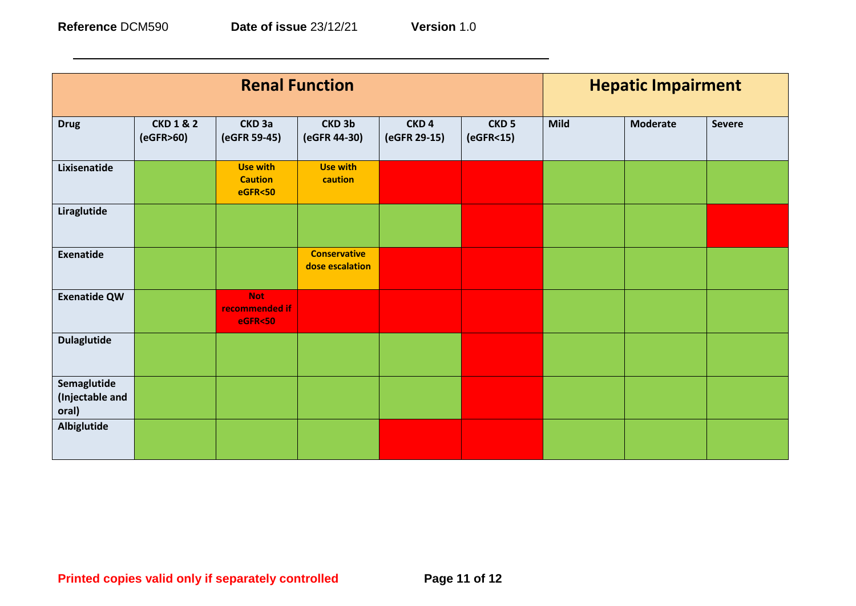| 12/21 | version<br>. . |
|-------|----------------|
|       |                |

| <b>Renal Function</b>                   |                                     |                                                        |                                        |                                  | <b>Hepatic Impairment</b>                 |             |                 |               |
|-----------------------------------------|-------------------------------------|--------------------------------------------------------|----------------------------------------|----------------------------------|-------------------------------------------|-------------|-----------------|---------------|
| <b>Drug</b>                             | <b>CKD 1 &amp; 2</b><br>(eGFR > 60) | CKD <sub>3a</sub><br>(eGFR 59-45)                      | CKD <sub>3b</sub><br>(eGFR 44-30)      | CKD <sub>4</sub><br>(eGFR 29-15) | CKD <sub>5</sub><br>(eGFR <sub>15</sub> ) | <b>Mild</b> | <b>Moderate</b> | <b>Severe</b> |
| Lixisenatide                            |                                     | <b>Use with</b><br><b>Caution</b><br><b>eGFR&lt;50</b> | <b>Use with</b><br>caution             |                                  |                                           |             |                 |               |
| Liraglutide                             |                                     |                                                        |                                        |                                  |                                           |             |                 |               |
| <b>Exenatide</b>                        |                                     |                                                        | <b>Conservative</b><br>dose escalation |                                  |                                           |             |                 |               |
| <b>Exenatide QW</b>                     |                                     | <b>Not</b><br>recommended if<br><b>eGFR&lt;50</b>      |                                        |                                  |                                           |             |                 |               |
| <b>Dulaglutide</b>                      |                                     |                                                        |                                        |                                  |                                           |             |                 |               |
| Semaglutide<br>(Injectable and<br>oral) |                                     |                                                        |                                        |                                  |                                           |             |                 |               |
| <b>Albiglutide</b>                      |                                     |                                                        |                                        |                                  |                                           |             |                 |               |